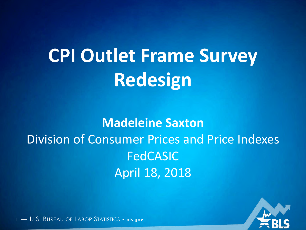# **CPI Outlet Frame Survey Redesign**

#### **Madeleine Saxton** Division of Consumer Prices and Price Indexes FedCASIC April 18, 2018

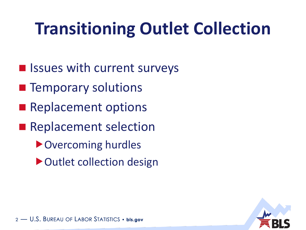## **Transitioning Outlet Collection**

- Issues with current surveys
- **Temporary solutions**
- Replacement options
- **Replacement selection** 
	- ▶ Overcoming hurdles
	- ▶ Outlet collection design

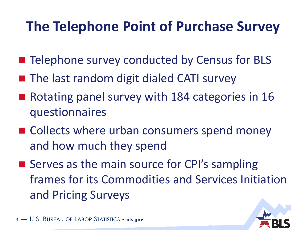#### **The Telephone Point of Purchase Survey**

- Telephone survey conducted by Census for BLS
- The last random digit dialed CATI survey
- Rotating panel survey with 184 categories in 16 questionnaires
- Collects where urban consumers spend money and how much they spend
- Serves as the main source for CPI's sampling frames for its Commodities and Services Initiation and Pricing Surveys

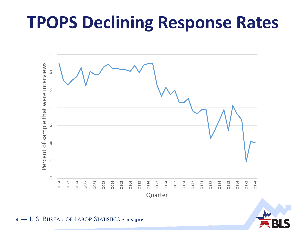#### **TPOPS Declining Response Rates**



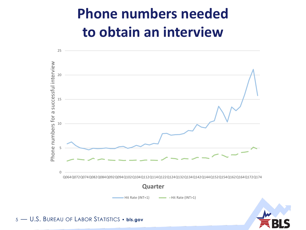#### **Phone numbers needed to obtain an interview**



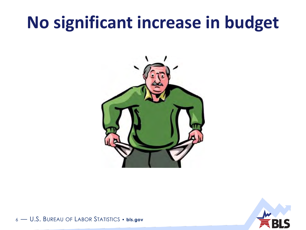#### **No significant increase in budget**





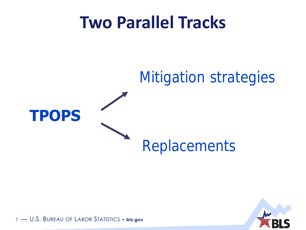

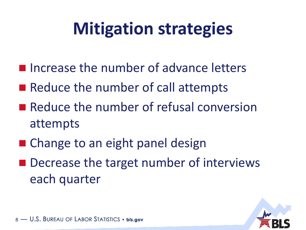## **Mitigation strategies**

- **I** Increase the number of advance letters
- Reduce the number of call attempts
- **Reduce the number of refusal conversion** attempts
- Change to an eight panel design
- Decrease the target number of interviews each quarter

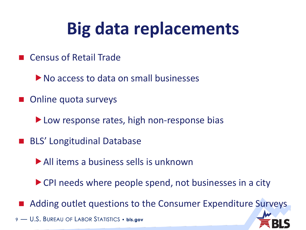## **Big data replacements**

- Census of Retail Trade
	- No access to data on small businesses
- Online quota surveys
	- ▶ Low response rates, high non-response bias
- BLS' Longitudinal Database
	- All items a business sells is unknown
	- ▶ CPI needs where people spend, not businesses in a city
- Adding outlet questions to the Consumer Expenditure Surveys
- 9 U.S. BUREAU OF LABOR STATISTICS **bls.gov**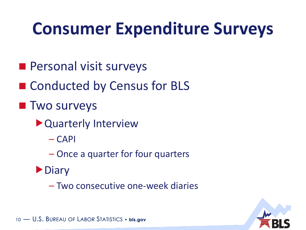## **Consumer Expenditure Surveys**

- **Personal visit surveys**
- Conducted by Census for BLS
- **T** Two surveys
	- Quarterly Interview
		- CAPI
		- Once a quarter for four quarters
	- **Diary** 
		- Two consecutive one-week diaries

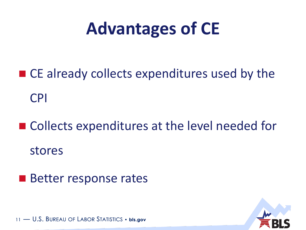## **Advantages of CE**

- CE already collects expenditures used by the CPI
- Collects expenditures at the level needed for stores
- Better response rates

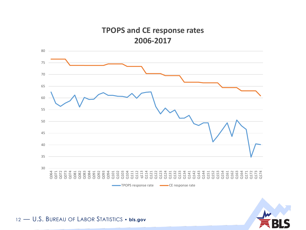#### **TPOPS and CE response rates 2006-2017**

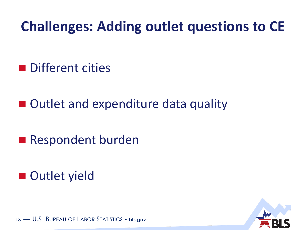#### **Challenges: Adding outlet questions to CE**

- **Different cities**
- Outlet and expenditure data quality
- Respondent burden
- Outlet yield

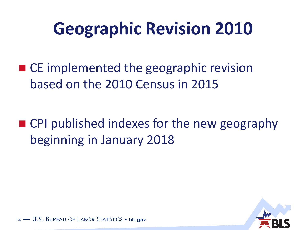## **Geographic Revision 2010**

■ CE implemented the geographic revision based on the 2010 Census in 2015

■ CPI published indexes for the new geography beginning in January 2018

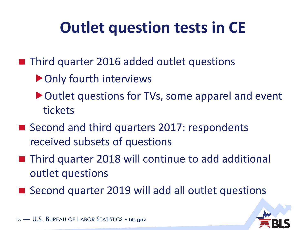#### **Outlet question tests in CE**

- Third quarter 2016 added outlet questions
	- ▶ Only fourth interviews
	- ▶ Outlet questions for TVs, some apparel and event tickets
- Second and third quarters 2017: respondents received subsets of questions
- Third quarter 2018 will continue to add additional outlet questions
- Second quarter 2019 will add all outlet questions

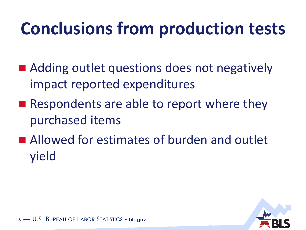## **Conclusions from production tests**

- Adding outlet questions does not negatively impact reported expenditures
- Respondents are able to report where they purchased items
- Allowed for estimates of burden and outlet yield

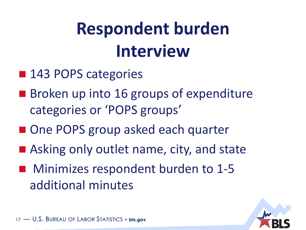# **Respondent burden Interview**

- 143 POPS categories
- **Broken up into 16 groups of expenditure** categories or 'POPS groups'
- One POPS group asked each quarter
- Asking only outlet name, city, and state
- **Minimizes respondent burden to 1-5** additional minutes

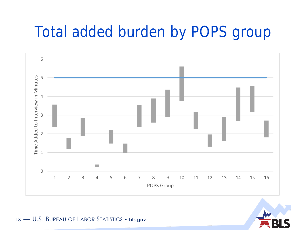#### Total added burden by POPS group



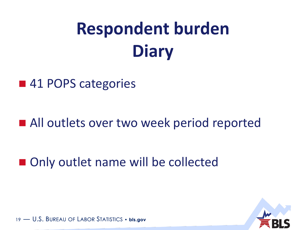# **Respondent burden Diary**

■ 41 POPS categories

■ All outlets over two week period reported

■ Only outlet name will be collected

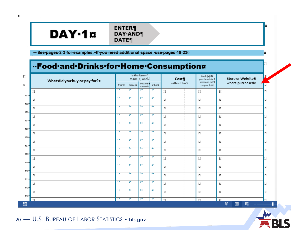#### DAY-1¤

 $\mathbf{I}$ 

**ENTER¶ DAY**-AND¶ **DATE** 

---See-pages-2-3-for-examples.--If-you-need-additional-space,-use-pages-18-23¤

#### ..Food.and.Drinks.for.Home.Consumption¤



20 — U.S. BUREAU OF LABOR STATISTICS • **bls.gov**



¤

¤

¤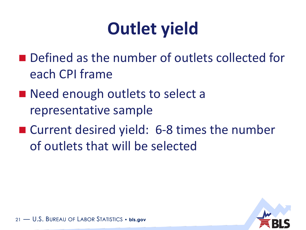# **Outlet yield**

- Defined as the number of outlets collected for each CPI frame
- Need enough outlets to select a representative sample
- Current desired yield: 6-8 times the number of outlets that will be selected

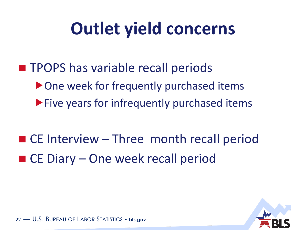## **Outlet yield concerns**

- **THEOPS has variable recall periods** ▶ One week for frequently purchased items **Five years for infrequently purchased items**
- CE Interview Three month recall period ■ CE Diary – One week recall period

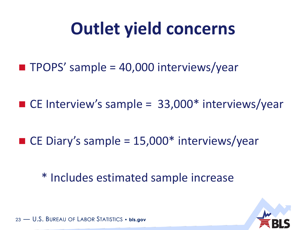## **Outlet yield concerns**

 $\blacksquare$  TPOPS' sample = 40,000 interviews/year

 $\blacksquare$  CE Interview's sample = 33,000\* interviews/year

 $\blacksquare$  CE Diary's sample = 15,000\* interviews/year

\* Includes estimated sample increase

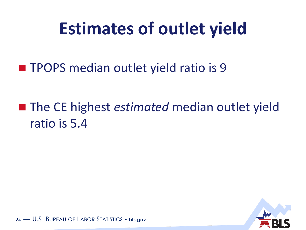## **Estimates of outlet yield**

**THEOPS** median outlet yield ratio is 9

■ The CE highest *estimated* median outlet yield ratio is 5.4

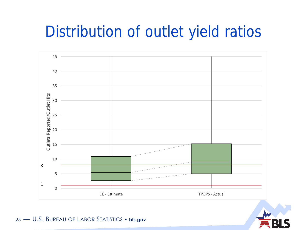#### Distribution of outlet yield ratios





25 — U.S. BUREAU OF LABOR STATISTICS • **bls.gov**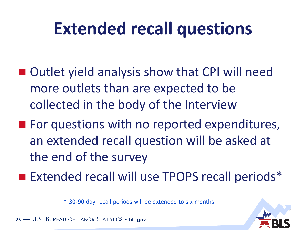## **Extended recall questions**

- Outlet yield analysis show that CPI will need more outlets than are expected to be collected in the body of the Interview
- $\blacksquare$  For questions with no reported expenditures, an extended recall question will be asked at the end of the survey

■ Extended recall will use TPOPS recall periods\*

\* 30-90 day recall periods will be extended to six months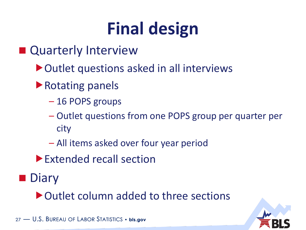# **Final design**

- **Quarterly Interview** 
	- ▶ Outlet questions asked in all interviews
	- Rotating panels
		- 16 POPS groups
		- Outlet questions from one POPS group per quarter per city
		- All items asked over four year period
	- Extended recall section

**Diary** 

▶ Outlet column added to three sections